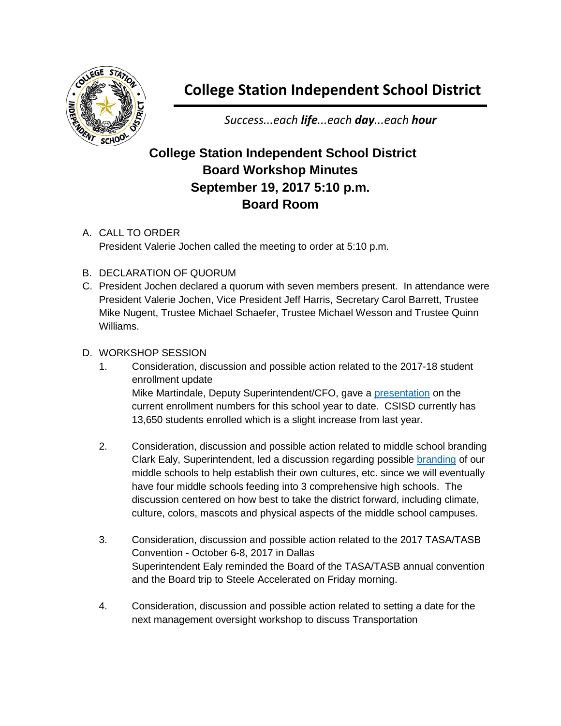

## **College Station Independent School District**

*Success...each life...each day...each hour*

## **College Station Independent School District Board Workshop Minutes September 19, 2017 5:10 p.m. Board Room**

A. CALL TO ORDER President Valerie Jochen called the meeting to order at 5:10 p.m.

- B. DECLARATION OF QUORUM
- C. President Jochen declared a quorum with seven members present. In attendance were President Valerie Jochen, Vice President Jeff Harris, Secretary Carol Barrett, Trustee Mike Nugent, Trustee Michael Schaefer, Trustee Michael Wesson and Trustee Quinn Williams.

## D. WORKSHOP SESSION

- 1. Consideration, discussion and possible action related to the 2017-18 student enrollment update Mike Martindale, Deputy Superintendent/CFO, gave a [presentation](http://web.csisd.org/school_board/agendas/2017-2018/October/Mike9.19.17BoardMeetingEnrollmentUpdate9.19.17.pdf) on the current enrollment numbers for this school year to date. CSISD currently has 13,650 students enrolled which is a slight increase from last year.
- 2. Consideration, discussion and possible action related to middle school branding Clark Ealy, Superintendent, led a discussion regarding possible [branding](http://web.csisd.org/school_board/agendas/2017-2018/October/EalyHandout_MiddleSchoolBranding8-15-17.pdf) of our middle schools to help establish their own cultures, etc. since we will eventually have four middle schools feeding into 3 comprehensive high schools. The discussion centered on how best to take the district forward, including climate, culture, colors, mascots and physical aspects of the middle school campuses.
- 3. Consideration, discussion and possible action related to the 2017 TASA/TASB Convention - October 6-8, 2017 in Dallas Superintendent Ealy reminded the Board of the TASA/TASB annual convention and the Board trip to Steele Accelerated on Friday morning.
- 4. Consideration, discussion and possible action related to setting a date for the next management oversight workshop to discuss Transportation